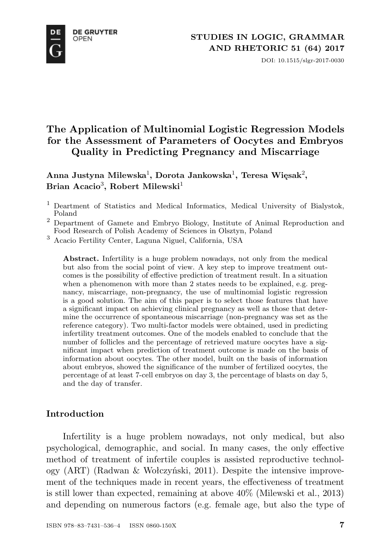**DE GRUYTER OPEN** 



DOI: 10.1515/slgr-2017-0030

# **The Application of Multinomial Logistic Regression Models for the Assessment of Parameters of Oocytes and Embryos Quality in Predicting Pregnancy and Miscarriage**

**Anna Justyna Milewska**<sup>1</sup> **, Dorota Jankowska**<sup>1</sup> **, Teresa Więsak**<sup>2</sup> **,**  $\operatorname{\mathbf{Brian}}\nolimits$  Acacio<sup>3</sup>, Robert Milewski<sup>1</sup>

- <sup>1</sup> Deartment of Statistics and Medical Informatics, Medical University of Bialystok, Poland
- <sup>2</sup> Department of Gamete and Embryo Biology, Institute of Animal Reproduction and Food Research of Polish Academy of Sciences in Olsztyn, Poland
- <sup>3</sup> Acacio Fertility Center, Laguna Niguel, California, USA

**Abstract.** Infertility is a huge problem nowadays, not only from the medical but also from the social point of view. A key step to improve treatment outcomes is the possibility of effective prediction of treatment result. In a situation when a phenomenon with more than 2 states needs to be explained, e.g. pregnancy, miscarriage, non-pregnancy, the use of multinomial logistic regression is a good solution. The aim of this paper is to select those features that have a significant impact on achieving clinical pregnancy as well as those that determine the occurrence of spontaneous miscarriage (non-pregnancy was set as the reference category). Two multi-factor models were obtained, used in predicting infertility treatment outcomes. One of the models enabled to conclude that the number of follicles and the percentage of retrieved mature oocytes have a significant impact when prediction of treatment outcome is made on the basis of information about oocytes. The other model, built on the basis of information about embryos, showed the significance of the number of fertilized oocytes, the percentage of at least 7-cell embryos on day 3, the percentage of blasts on day 5, and the day of transfer.

### **Introduction**

Infertility is a huge problem nowadays, not only medical, but also psychological, demographic, and social. In many cases, the only effective method of treatment of infertile couples is assisted reproductive technology (ART) (Radwan & Wołczyński, 2011). Despite the intensive improvement of the techniques made in recent years, the effectiveness of treatment is still lower than expected, remaining at above 40% (Milewski et al., 2013) and depending on numerous factors (e.g. female age, but also the type of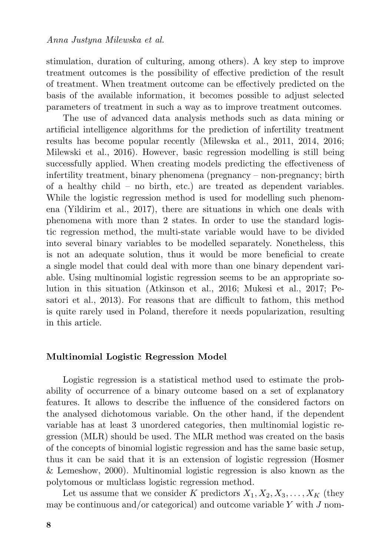stimulation, duration of culturing, among others). A key step to improve treatment outcomes is the possibility of effective prediction of the result of treatment. When treatment outcome can be effectively predicted on the basis of the available information, it becomes possible to adjust selected parameters of treatment in such a way as to improve treatment outcomes.

The use of advanced data analysis methods such as data mining or artificial intelligence algorithms for the prediction of infertility treatment results has become popular recently (Milewska et al., 2011, 2014, 2016; Milewski et al., 2016). However, basic regression modelling is still being successfully applied. When creating models predicting the effectiveness of infertility treatment, binary phenomena (pregnancy – non-pregnancy; birth of a healthy child – no birth, etc.) are treated as dependent variables. While the logistic regression method is used for modelling such phenomena (Yildirim et al., 2017), there are situations in which one deals with phenomena with more than 2 states. In order to use the standard logistic regression method, the multi-state variable would have to be divided into several binary variables to be modelled separately. Nonetheless, this is not an adequate solution, thus it would be more beneficial to create a single model that could deal with more than one binary dependent variable. Using multinomial logistic regression seems to be an appropriate solution in this situation (Atkinson et al., 2016; Mukesi et al., 2017; Pesatori et al., 2013). For reasons that are difficult to fathom, this method is quite rarely used in Poland, therefore it needs popularization, resulting in this article.

#### **Multinomial Logistic Regression Model**

Logistic regression is a statistical method used to estimate the probability of occurrence of a binary outcome based on a set of explanatory features. It allows to describe the influence of the considered factors on the analysed dichotomous variable. On the other hand, if the dependent variable has at least 3 unordered categories, then multinomial logistic regression (MLR) should be used. The MLR method was created on the basis of the concepts of binomial logistic regression and has the same basic setup, thus it can be said that it is an extension of logistic regression (Hosmer & Lemeshow, 2000). Multinomial logistic regression is also known as the polytomous or multiclass logistic regression method.

Let us assume that we consider K predictors  $X_1, X_2, X_3, \ldots, X_K$  (they may be continuous and/or categorical) and outcome variable  $Y$  with  $J$  nom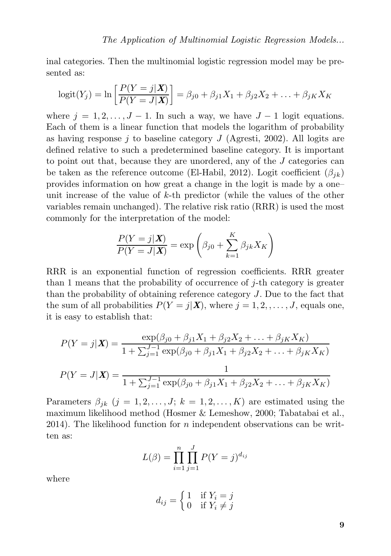inal categories. Then the multinomial logistic regression model may be presented as:

$$
logit(Y_j) = \ln \left[ \frac{P(Y = j | \bm{X})}{P(Y = J | \bm{X})} \right] = \beta_{j0} + \beta_{j1} X_1 + \beta_{j2} X_2 + \ldots + \beta_{jK} X_K
$$

where  $j = 1, 2, \ldots, J - 1$ . In such a way, we have  $J - 1$  logit equations. Each of them is a linear function that models the logarithm of probability as having response j to baseline category  $J$  (Agresti, 2002). All logits are defined relative to such a predetermined baseline category. It is important to point out that, because they are unordered, any of the J categories can be taken as the reference outcome (El-Habil, 2012). Logit coefficient  $(\beta_{ik})$ provides information on how great a change in the logit is made by a one– unit increase of the value of k-th predictor (while the values of the other variables remain unchanged). The relative risk ratio (RRR) is used the most commonly for the interpretation of the model:

$$
\frac{P(Y=j|\mathbf{X})}{P(Y=J|\mathbf{X})} = \exp\left(\beta_{j0} + \sum_{k=1}^{K} \beta_{jk} X_K\right)
$$

RRR is an exponential function of regression coefficients. RRR greater than 1 means that the probability of occurrence of j-th category is greater than the probability of obtaining reference category J. Due to the fact that the sum of all probabilities  $P(Y = j|\mathbf{X})$ , where  $j = 1, 2, ..., J$ , equals one, it is easy to establish that:

$$
P(Y = j | \mathbf{X}) = \frac{\exp(\beta_{j0} + \beta_{j1}X_1 + \beta_{j2}X_2 + \dots + \beta_{jK}X_K)}{1 + \sum_{j=1}^{J-1} \exp(\beta_{j0} + \beta_{j1}X_1 + \beta_{j2}X_2 + \dots + \beta_{jK}X_K)}
$$

$$
P(Y = J | \mathbf{X}) = \frac{1}{1 + \sum_{j=1}^{J-1} \exp(\beta_{j0} + \beta_{j1}X_1 + \beta_{j2}X_2 + \dots + \beta_{jK}X_K)}
$$

Parameters  $\beta_{jk}$   $(j = 1, 2, \ldots, J; k = 1, 2, \ldots, K)$  are estimated using the maximum likelihood method (Hosmer & Lemeshow, 2000; Tabatabai et al., 2014). The likelihood function for n independent observations can be written as:

$$
L(\beta) = \prod_{i=1}^{n} \prod_{j=1}^{J} P(Y = j)^{d_{ij}}
$$

where

$$
d_{ij} = \begin{cases} 1 & \text{if } Y_i = j \\ 0 & \text{if } Y_i \neq j \end{cases}
$$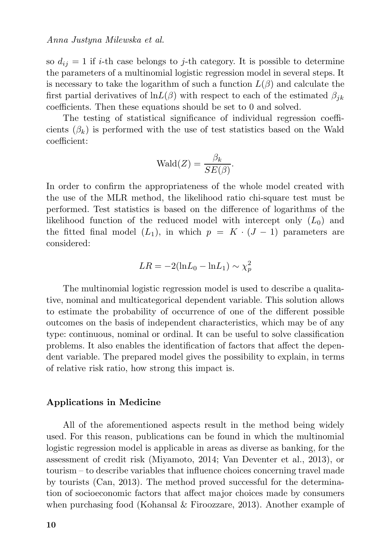so  $d_{ij} = 1$  if *i*-th case belongs to *j*-th category. It is possible to determine the parameters of a multinomial logistic regression model in several steps. It is necessary to take the logarithm of such a function  $L(\beta)$  and calculate the first partial derivatives of lnL( $\beta$ ) with respect to each of the estimated  $\beta_{ik}$ coefficients. Then these equations should be set to 0 and solved.

The testing of statistical significance of individual regression coefficients  $(\beta_k)$  is performed with the use of test statistics based on the Wald coefficient:

$$
\text{Wald}(Z) = \frac{\beta_k}{SE(\beta)}.
$$

In order to confirm the appropriateness of the whole model created with the use of the MLR method, the likelihood ratio chi-square test must be performed. Test statistics is based on the difference of logarithms of the likelihood function of the reduced model with intercept only  $(L_0)$  and the fitted final model  $(L_1)$ , in which  $p = K \cdot (J - 1)$  parameters are considered:

$$
LR = -2(\ln L_0 - \ln L_1) \sim \chi_p^2
$$

The multinomial logistic regression model is used to describe a qualitative, nominal and multicategorical dependent variable. This solution allows to estimate the probability of occurrence of one of the different possible outcomes on the basis of independent characteristics, which may be of any type: continuous, nominal or ordinal. It can be useful to solve classification problems. It also enables the identification of factors that affect the dependent variable. The prepared model gives the possibility to explain, in terms of relative risk ratio, how strong this impact is.

#### **Applications in Medicine**

All of the aforementioned aspects result in the method being widely used. For this reason, publications can be found in which the multinomial logistic regression model is applicable in areas as diverse as banking, for the assessment of credit risk (Miyamoto, 2014; Van Deventer et al., 2013), or tourism – to describe variables that influence choices concerning travel made by tourists (Can, 2013). The method proved successful for the determination of socioeconomic factors that affect major choices made by consumers when purchasing food (Kohansal & Firoozzare, 2013). Another example of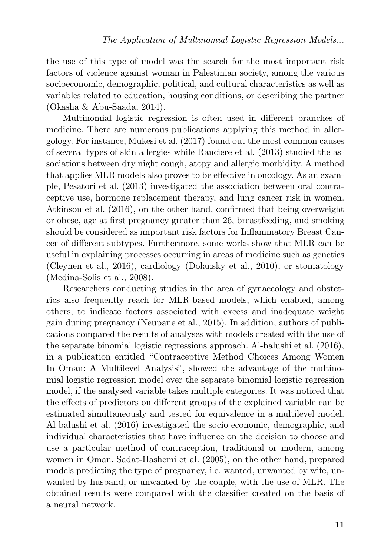the use of this type of model was the search for the most important risk factors of violence against woman in Palestinian society, among the various socioeconomic, demographic, political, and cultural characteristics as well as variables related to education, housing conditions, or describing the partner (Okasha & Abu-Saada, 2014).

Multinomial logistic regression is often used in different branches of medicine. There are numerous publications applying this method in allergology. For instance, Mukesi et al. (2017) found out the most common causes of several types of skin allergies while Ranciere et al. (2013) studied the associations between dry night cough, atopy and allergic morbidity. A method that applies MLR models also proves to be effective in oncology. As an example, Pesatori et al. (2013) investigated the association between oral contraceptive use, hormone replacement therapy, and lung cancer risk in women. Atkinson et al. (2016), on the other hand, confirmed that being overweight or obese, age at first pregnancy greater than 26, breastfeeding, and smoking should be considered as important risk factors for Inflammatory Breast Cancer of different subtypes. Furthermore, some works show that MLR can be useful in explaining processes occurring in areas of medicine such as genetics (Cleynen et al., 2016), cardiology (Dolansky et al., 2010), or stomatology (Medina-Solis et al., 2008).

Researchers conducting studies in the area of gynaecology and obstetrics also frequently reach for MLR-based models, which enabled, among others, to indicate factors associated with excess and inadequate weight gain during pregnancy (Neupane et al., 2015). In addition, authors of publications compared the results of analyses with models created with the use of the separate binomial logistic regressions approach. Al-balushi et al. (2016), in a publication entitled "Contraceptive Method Choices Among Women In Oman: A Multilevel Analysis", showed the advantage of the multinomial logistic regression model over the separate binomial logistic regression model, if the analysed variable takes multiple categories. It was noticed that the effects of predictors on different groups of the explained variable can be estimated simultaneously and tested for equivalence in a multilevel model. Al-balushi et al. (2016) investigated the socio-economic, demographic, and individual characteristics that have influence on the decision to choose and use a particular method of contraception, traditional or modern, among women in Oman. Sadat-Hashemi et al. (2005), on the other hand, prepared models predicting the type of pregnancy, i.e. wanted, unwanted by wife, unwanted by husband, or unwanted by the couple, with the use of MLR. The obtained results were compared with the classifier created on the basis of a neural network.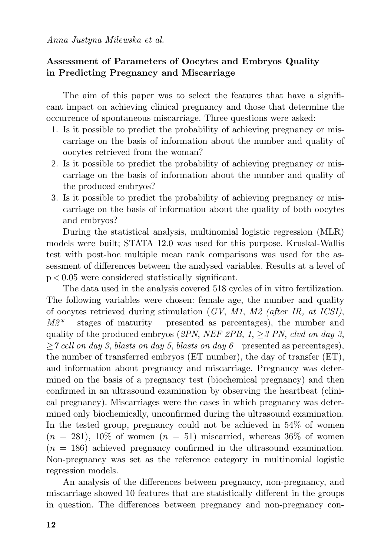## **Assessment of Parameters of Oocytes and Embryos Quality in Predicting Pregnancy and Miscarriage**

The aim of this paper was to select the features that have a significant impact on achieving clinical pregnancy and those that determine the occurrence of spontaneous miscarriage. Three questions were asked:

- 1. Is it possible to predict the probability of achieving pregnancy or miscarriage on the basis of information about the number and quality of oocytes retrieved from the woman?
- 2. Is it possible to predict the probability of achieving pregnancy or miscarriage on the basis of information about the number and quality of the produced embryos?
- 3. Is it possible to predict the probability of achieving pregnancy or miscarriage on the basis of information about the quality of both oocytes and embryos?

During the statistical analysis, multinomial logistic regression (MLR) models were built; STATA 12.0 was used for this purpose. Kruskal-Wallis test with post-hoc multiple mean rank comparisons was used for the assessment of differences between the analysed variables. Results at a level of p < 0.05 were considered statistically significant.

The data used in the analysis covered 518 cycles of in vitro fertilization. The following variables were chosen: female age, the number and quality of oocytes retrieved during stimulation (*GV*, *M1*, *M2 (after IR, at ICSI)*,  $M2^*$  – stages of maturity – presented as percentages), the number and quality of the produced embryos (*2PN*, *NEF 2PB*, *1*, ≥*3 PN*, *clvd on day 3*, ≥*7 cell on day 3*, *blasts on day 5*, *blasts on day 6* – presented as percentages), the number of transferred embryos (ET number), the day of transfer (ET), and information about pregnancy and miscarriage. Pregnancy was determined on the basis of a pregnancy test (biochemical pregnancy) and then confirmed in an ultrasound examination by observing the heartbeat (clinical pregnancy). Miscarriages were the cases in which pregnancy was determined only biochemically, unconfirmed during the ultrasound examination. In the tested group, pregnancy could not be achieved in 54% of women  $(n = 281)$ , 10% of women  $(n = 51)$  miscarried, whereas 36% of women  $(n = 186)$  achieved pregnancy confirmed in the ultrasound examination. Non-pregnancy was set as the reference category in multinomial logistic regression models.

An analysis of the differences between pregnancy, non-pregnancy, and miscarriage showed 10 features that are statistically different in the groups in question. The differences between pregnancy and non-pregnancy con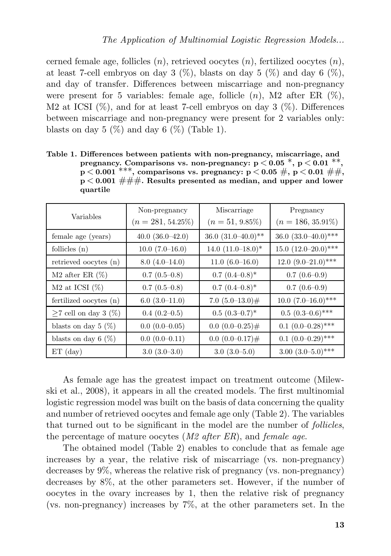cerned female age, follicles  $(n)$ , retrieved oocytes  $(n)$ , fertilized oocytes  $(n)$ , at least 7-cell embryos on day 3  $(\%)$ , blasts on day 5  $(\%)$  and day 6  $(\%)$ , and day of transfer. Differences between miscarriage and non-pregnancy were present for 5 variables: female age, follicle  $(n)$ , M2 after ER  $(\%)$ , M2 at ICSI  $(\%)$ , and for at least 7-cell embryos on day 3  $(\%)$ . Differences between miscarriage and non-pregnancy were present for 2 variables only: blasts on day 5  $(\%)$  and day 6  $(\%)$  (Table 1).

| Table 1. Differences between patients with non-pregnancy, miscarriage, and  |
|-----------------------------------------------------------------------------|
| pregnancy. Comparisons vs. non-pregnancy: $p < 0.05$ , $p < 0.01$ , **,     |
| $p < 0.001$ ***, comparisons vs. pregnancy: $p < 0.05 \#$ , $p < 0.01 \#$ , |
| $p < 0.001$ ###. Results presented as median, and upper and lower           |
| quartile                                                                    |

|                          | Non-pregnancy        | Miscarriage               | Pregnancy                |  |
|--------------------------|----------------------|---------------------------|--------------------------|--|
| Variables                | $(n = 281, 54.25\%)$ | $(n = 51, 9.85\%)$        | $(n = 186, 35.91\%)$     |  |
| female age (years)       | $40.0$ $(36.0-42.0)$ | $36.0 (31.0 - 40.0)^{**}$ | 36.0 $(33.0-40.0)$ ***   |  |
| follicles $(n)$          | $10.0 (7.0 - 16.0)$  | 14.0 $(11.0-18.0)*$       | $15.0 (12.0 - 20.0)$ *** |  |
| retrieved oocytes (n)    | $8.0(4.0-14.0)$      | $11.0(6.0-16.0)$          | $12.0 (9.0 - 21.0)$ ***  |  |
| $M2$ after ER $(\%)$     | $0.7(0.5-0.8)$       | $0.7(0.4-0.8)^*$          | $0.7(0.6-0.9)$           |  |
| M2 at ICSI $(\%)$        | $0.7(0.5-0.8)$       | $0.7~(0.4{\text -}0.8)^*$ | $0.7(0.6-0.9)$           |  |
| fertilized oocytes (n)   | $6.0(3.0-11.0)$      | 7.0 $(5.0-13.0)$ #        | $10.0 (7.0 - 16.0)$ ***  |  |
| $>7$ cell on day 3 (%)   | $0.4(0.2-0.5)$       | $0.5(0.3-0.7)^*$          | $0.5(0.3-0.6)$ ***       |  |
| blasts on day $5 \ (\%)$ | $0.0(0.0-0.05)$      | $0.0(0.0-0.25)$ #         | $0.1$ $(0.0-0.28)$ ***   |  |
| blasts on day 6 $(\%)$   | $0.0(0.0-0.11)$      | $0.0(0.0-0.17)$ #         | $0.1(0.0-0.29)$ ***      |  |
| $ET$ (day)               | $3.0(3.0-3.0)$       | $3.0(3.0-5.0)$            | $3.00~(3.0–5.0)***$      |  |

As female age has the greatest impact on treatment outcome (Milewski et al., 2008), it appears in all the created models. The first multinomial logistic regression model was built on the basis of data concerning the quality and number of retrieved oocytes and female age only (Table 2). The variables that turned out to be significant in the model are the number of *follicles*, the percentage of mature oocytes (*M2 after ER*), and *female age*.

The obtained model (Table 2) enables to conclude that as female age increases by a year, the relative risk of miscarriage (vs. non-pregnancy) decreases by 9%, whereas the relative risk of pregnancy (vs. non-pregnancy) decreases by 8%, at the other parameters set. However, if the number of oocytes in the ovary increases by 1, then the relative risk of pregnancy (vs. non-pregnancy) increases by 7%, at the other parameters set. In the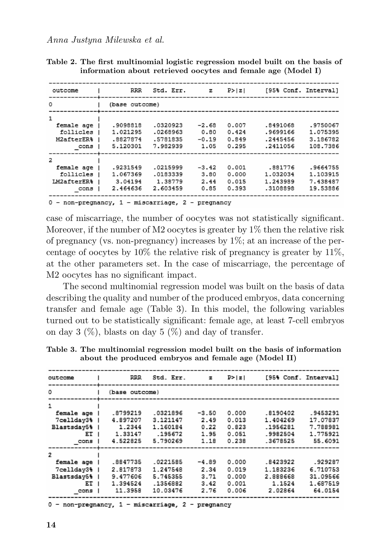| outcome                                                          |                                  | RRR                 | Std. Err.                                    | $\mathbf{z}$                       | P >  z                           |                                              | [95% Conf. Interval]                         |
|------------------------------------------------------------------|----------------------------------|---------------------|----------------------------------------------|------------------------------------|----------------------------------|----------------------------------------------|----------------------------------------------|
| $^{\circ}$                                                       |                                  | (base outcome)      |                                              |                                    |                                  |                                              |                                              |
| 1<br>female age<br>follicles<br>M2afterER%<br>cons               | 1.021295<br>.8827874<br>5.120301 | .9098818            | .0320923<br>.0268963<br>.5781835<br>7.982939 | $-2.68$<br>0.80<br>$-0.19$<br>1.05 | 0.007<br>0.424<br>0.849<br>0.295 | .8491068<br>.9699166<br>.2445456<br>.2411056 | .9750067<br>1.075395<br>3.186782<br>108,7386 |
| $\overline{2}$<br>female age<br>follicles<br>LM2afterER%<br>cons | 1.067369<br>2.464636             | .9231549<br>3.04194 | .0215999<br>.0183339<br>1.38779<br>2.603459  | $-3.42$<br>3.80<br>2.44<br>0.85    | 0.001<br>0.000<br>0.015<br>0.393 | .881776<br>1.032034<br>1.243989<br>.3108898  | .9664755<br>1,103915<br>7.438487<br>19.53886 |

**Table 2. The first multinomial logistic regression model built on the basis of information about retrieved oocytes and female age (Model I)**

0 - non-pregnancy, 1 - miscarriage, 2 - pregnancy

case of miscarriage, the number of oocytes was not statistically significant. Moreover, if the number of M2 oocytes is greater by  $1\%$  then the relative risk of pregnancy (vs. non-pregnancy) increases by  $1\%$ ; at an increase of the percentage of oocytes by  $10\%$  the relative risk of pregnancy is greater by  $11\%$ , at the other parameters set. In the case of miscarriage, the percentage of M2 oocytes has no significant impact.

The second multinomial regression model was built on the basis of data describing the quality and number of the produced embryos, data concerning transfer and female age (Table 3). In this model, the following variables turned out to be statistically significant: female age, at least 7-cell embryos on day 3  $(\%)$ , blasts on day 5  $(\%)$  and day of transfer.

| Table 3. The multinomial regression model built on the basis of information |
|-----------------------------------------------------------------------------|
| about the produced embryos and female age (Model II)                        |

| outcome     | RRR            | Std. Err. | $\mathbf{z}$ | P >  z |          | [95% Conf. Interval] |
|-------------|----------------|-----------|--------------|--------|----------|----------------------|
| ٥           | (base outcome) |           |              |        |          |                      |
| 1           |                |           |              |        |          |                      |
| female age  | .8799219       | .0321896  | $-3.50$      | 0.000  | .8190402 | .9453291             |
| 7cellday3%  | 4.897207       | 3.121147  | 2.49         | 0.013  | 1.404269 | 17.07837             |
| Blastsday5% | 1.2344         | 1.160184  | 0.22         | 0.823  | .1956281 | 7.788981             |
| ET 1        | 1.33147        | .195672   | 1.95         | 0.051  | .9982504 | 1.775921             |
| cons        | 4.522825       | 5.790269  | 1.18         | 0.238  | .3678525 | 55.6091              |
| 2           |                |           |              |        |          |                      |
| female age  | .8847735       | .0221585  | $-4.89$      | 0.000  | .8423922 | .929287              |
| 7celldav3%  | 2.817873       | 1.247548  | 2.34         | 0.019  | 1.183236 | 6.710753             |
| Blastsdav5% | 9.477606       | 5.745355  | 3.71         | 0.000  | 2.888668 | 31.09566             |
| ЕT          | 1.394524       | .1356882  | 3.42         | 0.001  | 1.1524   | 1.687519             |
| cons        | 11.3958        | 10.03476  | 2.76         | 0.006  | 2.02864  | 64.0154              |

**14**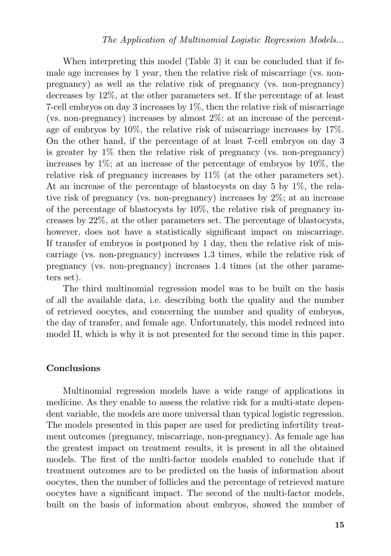When interpreting this model (Table 3) it can be concluded that if female age increases by 1 year, then the relative risk of miscarriage (vs. nonpregnancy) as well as the relative risk of pregnancy (vs. non-pregnancy) decreases by 12%, at the other parameters set. If the percentage of at least 7-cell embryos on day 3 increases by 1%, then the relative risk of miscarriage (vs. non-pregnancy) increases by almost 2%; at an increase of the percentage of embryos by 10%, the relative risk of miscarriage increases by 17%. On the other hand, if the percentage of at least 7-cell embryos on day 3 is greater by 1% then the relative risk of pregnancy (vs. non-pregnancy) increases by  $1\%$ ; at an increase of the percentage of embryos by  $10\%$ , the relative risk of pregnancy increases by 11% (at the other parameters set). At an increase of the percentage of blastocysts on day 5 by 1%, the relative risk of pregnancy (vs. non-pregnancy) increases by 2%; at an increase of the percentage of blastocysts by 10%, the relative risk of pregnancy increases by 22%, at the other parameters set. The percentage of blastocysts, however, does not have a statistically significant impact on miscarriage. If transfer of embryos is postponed by 1 day, then the relative risk of miscarriage (vs. non-pregnancy) increases 1.3 times, while the relative risk of pregnancy (vs. non-pregnancy) increases 1.4 times (at the other parameters set).

The third multinomial regression model was to be built on the basis of all the available data, i.e. describing both the quality and the number of retrieved oocytes, and concerning the number and quality of embryos, the day of transfer, and female age. Unfortunately, this model reduced into model II, which is why it is not presented for the second time in this paper.

#### **Conclusions**

Multinomial regression models have a wide range of applications in medicine. As they enable to assess the relative risk for a multi-state dependent variable, the models are more universal than typical logistic regression. The models presented in this paper are used for predicting infertility treatment outcomes (pregnancy, miscarriage, non-pregnancy). As female age has the greatest impact on treatment results, it is present in all the obtained models. The first of the multi-factor models enabled to conclude that if treatment outcomes are to be predicted on the basis of information about oocytes, then the number of follicles and the percentage of retrieved mature oocytes have a significant impact. The second of the multi-factor models, built on the basis of information about embryos, showed the number of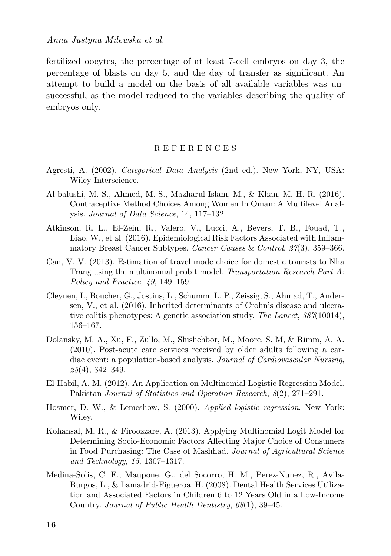*Anna Justyna Milewska et al.*

fertilized oocytes, the percentage of at least 7-cell embryos on day 3, the percentage of blasts on day 5, and the day of transfer as significant. An attempt to build a model on the basis of all available variables was unsuccessful, as the model reduced to the variables describing the quality of embryos only.

#### R E F E R E N C E S

- Agresti, A. (2002). *Categorical Data Analysis* (2nd ed.). New York, NY, USA: Wiley-Interscience.
- Al-balushi, M. S., Ahmed, M. S., Mazharul Islam, M., & Khan, M. H. R. (2016). Contraceptive Method Choices Among Women In Oman: A Multilevel Analysis. *Journal of Data Science*, 14, 117–132.
- Atkinson, R. L., El-Zein, R., Valero, V., Lucci, A., Bevers, T. B., Fouad, T., Liao, W., et al. (2016). Epidemiological Risk Factors Associated with Inflammatory Breast Cancer Subtypes. *Cancer Causes* & *Control*, *27*(3), 359–366.
- Can, V. V. (2013). Estimation of travel mode choice for domestic tourists to Nha Trang using the multinomial probit model. *Transportation Research Part A: Policy and Practice*, *49*, 149–159.
- Cleynen, I., Boucher, G., Jostins, L., Schumm, L. P., Zeissig, S., Ahmad, T., Andersen, V., et al. (2016). Inherited determinants of Crohn's disease and ulcerative colitis phenotypes: A genetic association study. *The Lancet*, *387*(10014), 156–167.
- Dolansky, M. A., Xu, F., Zullo, M., Shishehbor, M., Moore, S. M, & Rimm, A. A. (2010). Post-acute care services received by older adults following a cardiac event: a population-based analysis. *Journal of Cardiovascular Nursing*, *25*(4), 342–349.
- El-Habil, A. M. (2012). An Application on Multinomial Logistic Regression Model. Pakistan *Journal of Statistics and Operation Research*, *8*(2), 271–291.
- Hosmer, D. W., & Lemeshow, S. (2000). *Applied logistic regression*. New York: Wiley.
- Kohansal, M. R., & Firoozzare, A. (2013). Applying Multinomial Logit Model for Determining Socio-Economic Factors Affecting Major Choice of Consumers in Food Purchasing: The Case of Mashhad. *Journal of Agricultural Science and Technology*, *15*, 1307–1317.
- Medina-Solis, C. E., Maupone, G., del Socorro, H. M., Perez-Nunez, R., Avila-Burgos, L., & Lamadrid-Figueroa, H. (2008). Dental Health Services Utilization and Associated Factors in Children 6 to 12 Years Old in a Low-Income Country. *Journal of Public Health Dentistry*, *68*(1), 39–45.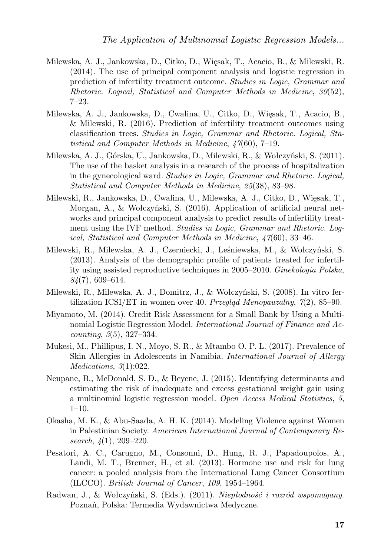- Milewska, A. J., Jankowska, D., Citko, D., Więsak, T., Acacio, B., & Milewski, R. (2014). The use of principal component analysis and logistic regression in prediction of infertility treatment outcome. *Studies in Logic, Grammar and Rhetoric. Logical, Statistical and Computer Methods in Medicine*, *39*(52), 7–23.
- Milewska, A. J., Jankowska, D., Cwalina, U., Citko, D., Więsak, T., Acacio, B., & Milewski, R. (2016). Prediction of infertility treatment outcomes using classification trees. *Studies in Logic, Grammar and Rhetoric. Logical, Statistical and Computer Methods in Medicine*, *47*(60), 7–19.
- Milewska, A. J., Górska, U., Jankowska, D., Milewski, R., & Wołczyński, S. (2011). The use of the basket analysis in a research of the process of hospitalization in the gynecological ward. *Studies in Logic, Grammar and Rhetoric. Logical, Statistical and Computer Methods in Medicine*, *25*(38), 83–98.
- Milewski, R., Jankowska, D., Cwalina, U., Milewska, A. J., Citko, D., Więsak, T., Morgan, A., & Wołczyński, S. (2016). Application of artificial neural networks and principal component analysis to predict results of infertility treatment using the IVF method. *Studies in Logic, Grammar and Rhetoric. Logical, Statistical and Computer Methods in Medicine*, *47*(60), 33–46.
- Milewski, R., Milewska, A. J., Czerniecki, J., Leśniewska, M., & Wołczyński, S. (2013). Analysis of the demographic profile of patients treated for infertility using assisted reproductive techniques in 2005–2010. *Ginekologia Polska*, *84*(7), 609–614.
- Milewski, R., Milewska, A. J., Domitrz, J., & Wołczyński, S. (2008). In vitro fertilization ICSI/ET in women over 40. *Przegląd Menopauzalny*, *7*(2), 85–90.
- Miyamoto, M. (2014). Credit Risk Assessment for a Small Bank by Using a Multinomial Logistic Regression Model. *International Journal of Finance and Accounting*, *3*(5), 327–334.
- Mukesi, M., Phillipus, I. N., Moyo, S. R., & Mtambo O. P. L. (2017). Prevalence of Skin Allergies in Adolescents in Namibia. *International Journal of Allergy Medications*, *3*(1):022.
- Neupane, B., McDonald, S. D., & Beyene, J. (2015). Identifying determinants and estimating the risk of inadequate and excess gestational weight gain using a multinomial logistic regression model. *Open Access Medical Statistics*, *5*,  $1-10$ .
- Okasha, M. K., & Abu-Saada, A. H. K. (2014). Modeling Violence against Women in Palestinian Society. *American International Journal of Contemporary Research*, *4*(1), 209–220.
- Pesatori, A. C., Carugno, M., Consonni, D., Hung, R. J., Papadoupolos, A., Landi, M. T., Brenner, H., et al. (2013). Hormone use and risk for lung cancer: a pooled analysis from the International Lung Cancer Consortium (ILCCO). *British Journal of Cancer*, *109*, 1954–1964.
- Radwan, J., & Wołczyński, S. (Eds.). (2011). *Niepłodność i rozród wspomagany*. Poznań, Polska: Termedia Wydawnictwa Medyczne.